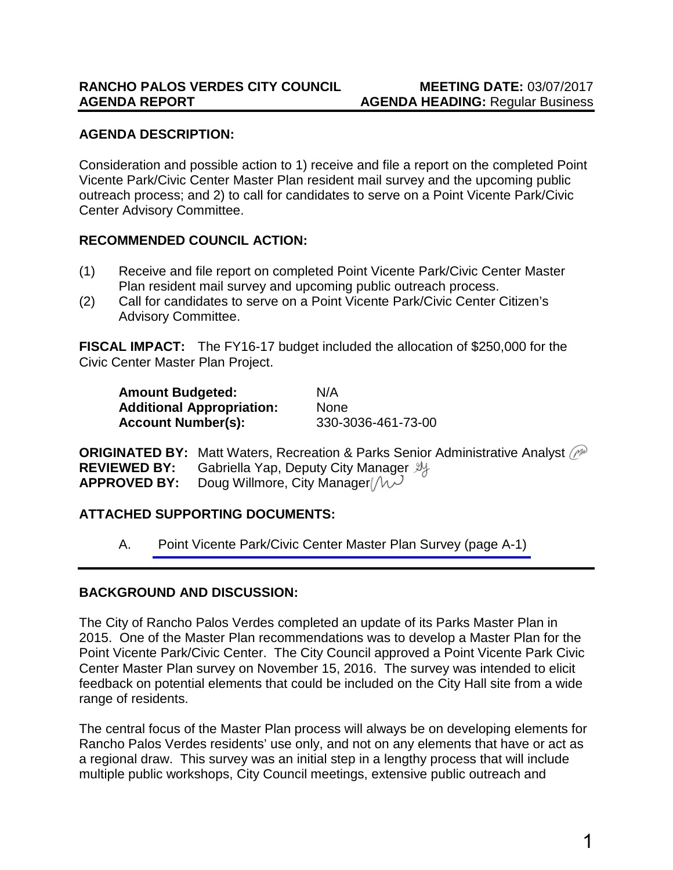#### **AGENDA DESCRIPTION:**

Consideration and possible action to 1) receive and file a report on the completed Point Vicente Park/Civic Center Master Plan resident mail survey and the upcoming public outreach process; and 2) to call for candidates to serve on a Point Vicente Park/Civic Center Advisory Committee.

#### **RECOMMENDED COUNCIL ACTION:**

- (1) Receive and file report on completed Point Vicente Park/Civic Center Master Plan resident mail survey and upcoming public outreach process.
- (2) Call for candidates to serve on a Point Vicente Park/Civic Center Citizen's Advisory Committee.

**FISCAL IMPACT:** The FY16-17 budget included the allocation of \$250,000 for the Civic Center Master Plan Project.

| <b>Amount Budgeted:</b>          | N/A                |
|----------------------------------|--------------------|
| <b>Additional Appropriation:</b> | <b>None</b>        |
| <b>Account Number(s):</b>        | 330-3036-461-73-00 |

**ORIGINATED BY:** Matt Waters, Recreation & Parks Senior Administrative Analyst (printle analyst) **REVIEWED BY:** Gabriella Yap, Deputy City Manager  $\mathcal{Y}_{\mathcal{Y}}$ <br>**APPROVED BY:** Doug Willmore, City Manager  $\left(\mathcal{W}^{\mathcal{Y}}\right)$ Doug Willmore, City Manager [ $\mu$ <sup>]</sup>

#### **ATTACHED SUPPORTING DOCUMENTS:**

A. [Point Vicente Park/Civic Center Master Plan Survey \(page A-1\)](#page-6-0)

#### **BACKGROUND AND DISCUSSION:**

The City of Rancho Palos Verdes completed an update of its Parks Master Plan in 2015. One of the Master Plan recommendations was to develop a Master Plan for the Point Vicente Park/Civic Center. The City Council approved a Point Vicente Park Civic Center Master Plan survey on November 15, 2016. The survey was intended to elicit feedback on potential elements that could be included on the City Hall site from a wide range of residents.

The central focus of the Master Plan process will always be on developing elements for Rancho Palos Verdes residents' use only, and not on any elements that have or act as a regional draw. This survey was an initial step in a lengthy process that will include multiple public workshops, City Council meetings, extensive public outreach and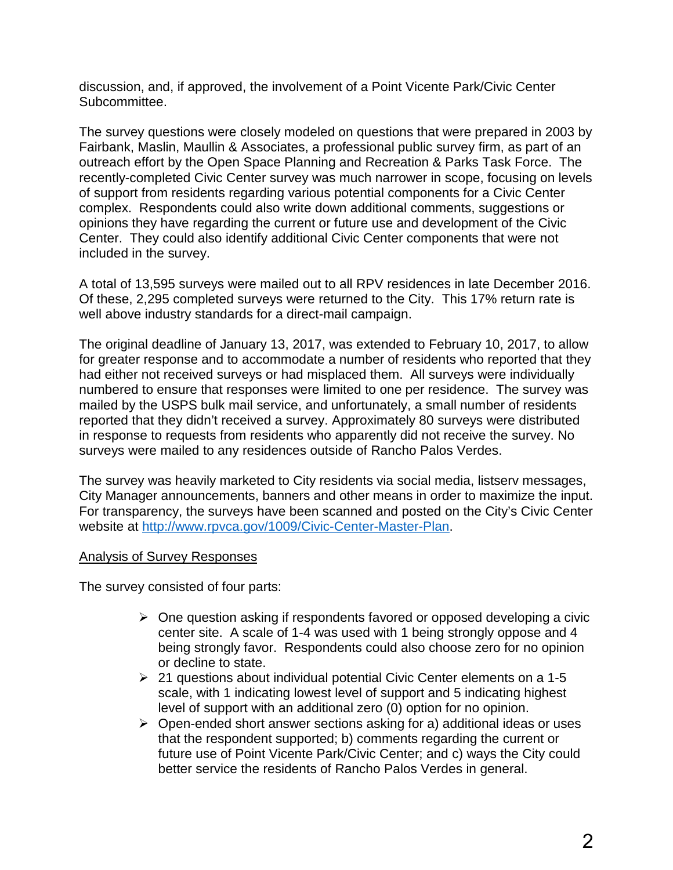discussion, and, if approved, the involvement of a Point Vicente Park/Civic Center Subcommittee.

The survey questions were closely modeled on questions that were prepared in 2003 by Fairbank, Maslin, Maullin & Associates, a professional public survey firm, as part of an outreach effort by the Open Space Planning and Recreation & Parks Task Force. The recently-completed Civic Center survey was much narrower in scope, focusing on levels of support from residents regarding various potential components for a Civic Center complex. Respondents could also write down additional comments, suggestions or opinions they have regarding the current or future use and development of the Civic Center. They could also identify additional Civic Center components that were not included in the survey.

A total of 13,595 surveys were mailed out to all RPV residences in late December 2016. Of these, 2,295 completed surveys were returned to the City. This 17% return rate is well above industry standards for a direct-mail campaign.

The original deadline of January 13, 2017, was extended to February 10, 2017, to allow for greater response and to accommodate a number of residents who reported that they had either not received surveys or had misplaced them. All surveys were individually numbered to ensure that responses were limited to one per residence. The survey was mailed by the USPS bulk mail service, and unfortunately, a small number of residents reported that they didn't received a survey. Approximately 80 surveys were distributed in response to requests from residents who apparently did not receive the survey. No surveys were mailed to any residences outside of Rancho Palos Verdes.

The survey was heavily marketed to City residents via social media, listserv messages, City Manager announcements, banners and other means in order to maximize the input. For transparency, the surveys have been scanned and posted on the City's Civic Center website at [http://www.rpvca.gov/1009/Civic-Center-Master-Plan.](http://www.rpvca.gov/1009/Civic-Center-Master-Plan)

#### Analysis of Survey Responses

The survey consisted of four parts:

- $\triangleright$  One question asking if respondents favored or opposed developing a civic center site. A scale of 1-4 was used with 1 being strongly oppose and 4 being strongly favor. Respondents could also choose zero for no opinion or decline to state.
- $\geq$  21 questions about individual potential Civic Center elements on a 1-5 scale, with 1 indicating lowest level of support and 5 indicating highest level of support with an additional zero (0) option for no opinion.
- $\triangleright$  Open-ended short answer sections asking for a) additional ideas or uses that the respondent supported; b) comments regarding the current or future use of Point Vicente Park/Civic Center; and c) ways the City could better service the residents of Rancho Palos Verdes in general.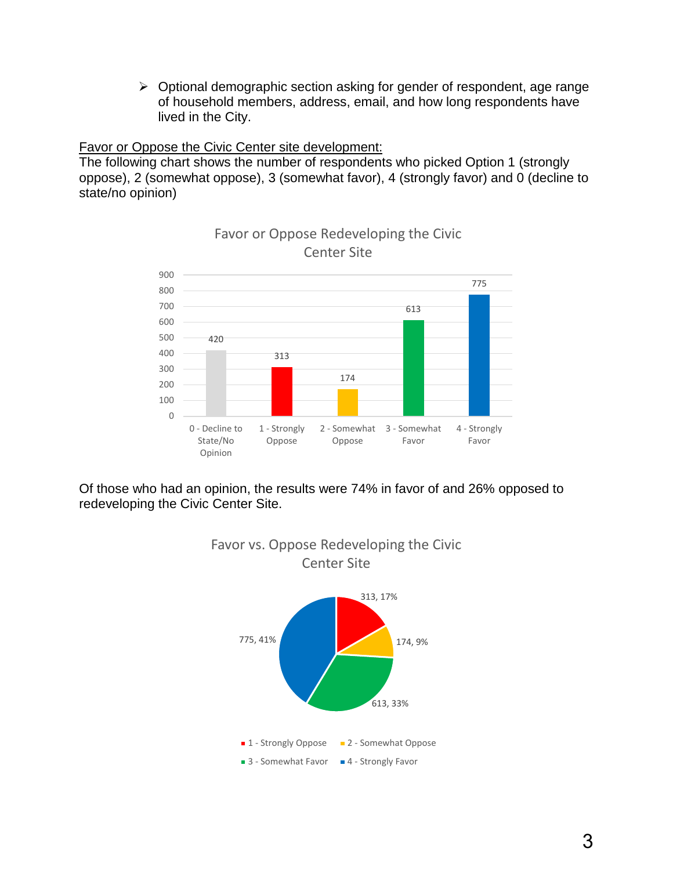$\triangleright$  Optional demographic section asking for gender of respondent, age range of household members, address, email, and how long respondents have lived in the City.

#### Favor or Oppose the Civic Center site development:

The following chart shows the number of respondents who picked Option 1 (strongly oppose), 2 (somewhat oppose), 3 (somewhat favor), 4 (strongly favor) and 0 (decline to state/no opinion)



### Favor or Oppose Redeveloping the Civic

Of those who had an opinion, the results were 74% in favor of and 26% opposed to redeveloping the Civic Center Site.

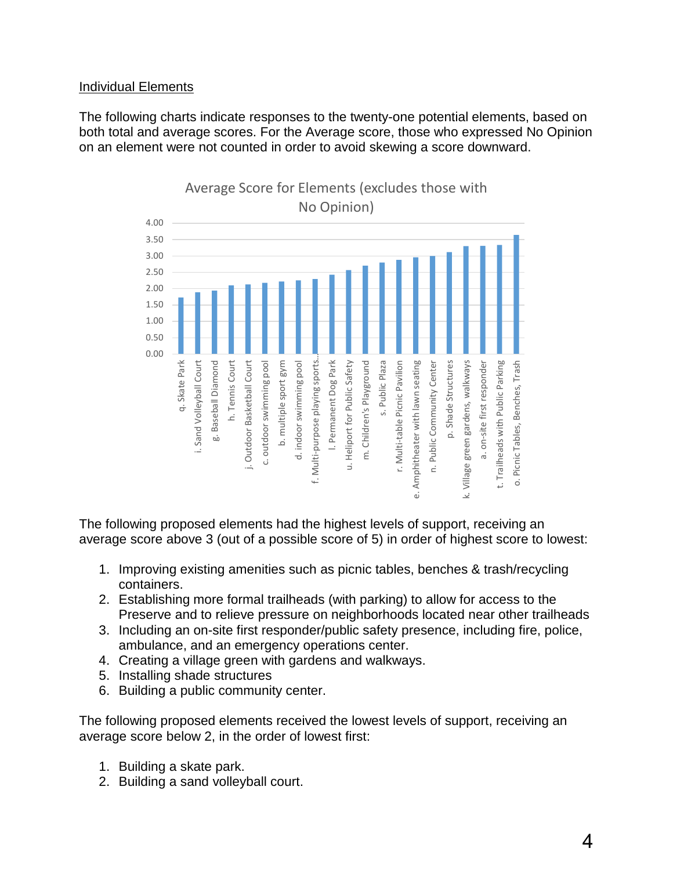#### Individual Elements

The following charts indicate responses to the twenty-one potential elements, based on both total and average scores. For the Average score, those who expressed No Opinion on an element were not counted in order to avoid skewing a score downward.



The following proposed elements had the highest levels of support, receiving an average score above 3 (out of a possible score of 5) in order of highest score to lowest:

- 1. Improving existing amenities such as picnic tables, benches & trash/recycling containers.
- 2. Establishing more formal trailheads (with parking) to allow for access to the Preserve and to relieve pressure on neighborhoods located near other trailheads
- 3. Including an on-site first responder/public safety presence, including fire, police, ambulance, and an emergency operations center.
- 4. Creating a village green with gardens and walkways.
- 5. Installing shade structures
- 6. Building a public community center.

The following proposed elements received the lowest levels of support, receiving an average score below 2, in the order of lowest first:

- 1. Building a skate park.
- 2. Building a sand volleyball court.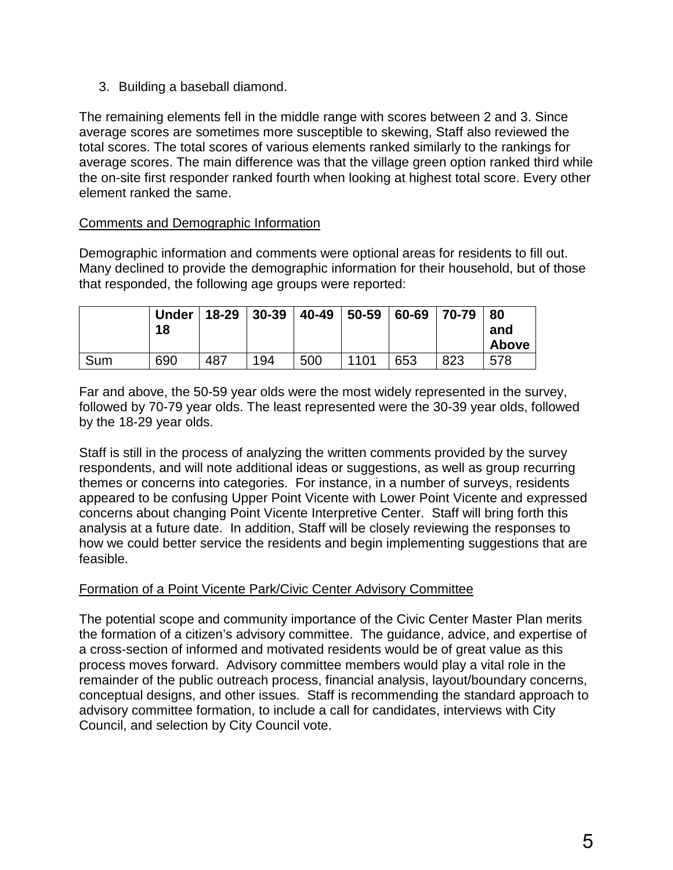3. Building a baseball diamond.

The remaining elements fell in the middle range with scores between 2 and 3. Since average scores are sometimes more susceptible to skewing, Staff also reviewed the total scores. The total scores of various elements ranked similarly to the rankings for average scores. The main difference was that the village green option ranked third while the on-site first responder ranked fourth when looking at highest total score. Every other element ranked the same.

#### Comments and Demographic Information

Demographic information and comments were optional areas for residents to fill out. Many declined to provide the demographic information for their household, but of those that responded, the following age groups were reported:

|     | <b>Under</b><br>18 | $18 - 29$ | $ 30-39$ | $ 40-49 $ | $50 - 59$ | 60-69 | 70-79 | 80<br>and<br>Above |
|-----|--------------------|-----------|----------|-----------|-----------|-------|-------|--------------------|
| Sum | 690                | 487       | 194      | 500       | 1101      | 653   | 823   | 578                |

Far and above, the 50-59 year olds were the most widely represented in the survey, followed by 70-79 year olds. The least represented were the 30-39 year olds, followed by the 18-29 year olds.

Staff is still in the process of analyzing the written comments provided by the survey respondents, and will note additional ideas or suggestions, as well as group recurring themes or concerns into categories. For instance, in a number of surveys, residents appeared to be confusing Upper Point Vicente with Lower Point Vicente and expressed concerns about changing Point Vicente Interpretive Center. Staff will bring forth this analysis at a future date. In addition, Staff will be closely reviewing the responses to how we could better service the residents and begin implementing suggestions that are feasible.

#### Formation of a Point Vicente Park/Civic Center Advisory Committee

The potential scope and community importance of the Civic Center Master Plan merits the formation of a citizen's advisory committee. The guidance, advice, and expertise of a cross-section of informed and motivated residents would be of great value as this process moves forward. Advisory committee members would play a vital role in the remainder of the public outreach process, financial analysis, layout/boundary concerns, conceptual designs, and other issues. Staff is recommending the standard approach to advisory committee formation, to include a call for candidates, interviews with City Council, and selection by City Council vote.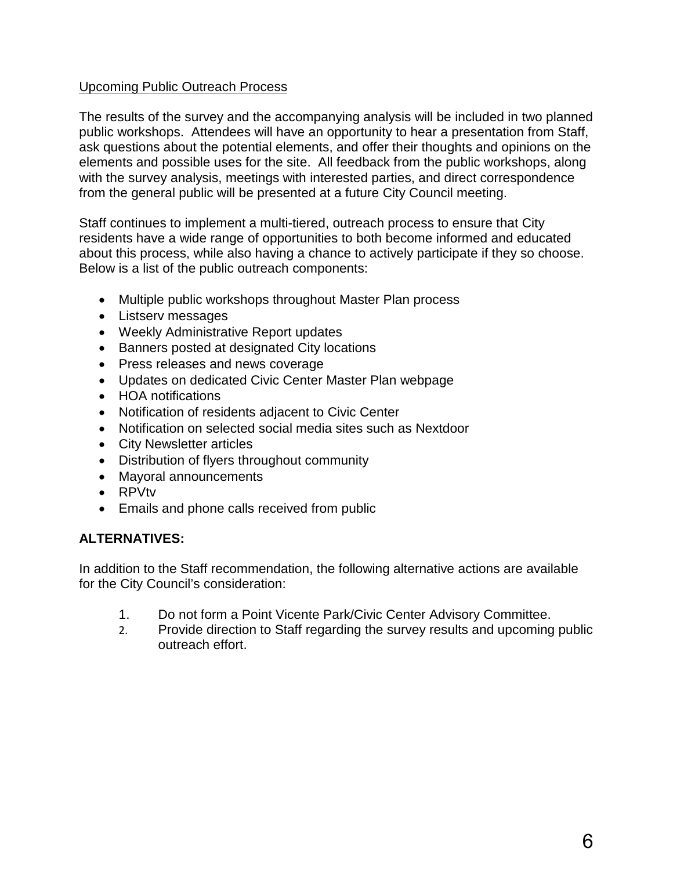#### Upcoming Public Outreach Process

The results of the survey and the accompanying analysis will be included in two planned public workshops. Attendees will have an opportunity to hear a presentation from Staff, ask questions about the potential elements, and offer their thoughts and opinions on the elements and possible uses for the site. All feedback from the public workshops, along with the survey analysis, meetings with interested parties, and direct correspondence from the general public will be presented at a future City Council meeting.

Staff continues to implement a multi-tiered, outreach process to ensure that City residents have a wide range of opportunities to both become informed and educated about this process, while also having a chance to actively participate if they so choose. Below is a list of the public outreach components:

- Multiple public workshops throughout Master Plan process
- Listserv messages
- Weekly Administrative Report updates
- Banners posted at designated City locations
- Press releases and news coverage
- Updates on dedicated Civic Center Master Plan webpage
- HOA notifications
- Notification of residents adjacent to Civic Center
- Notification on selected social media sites such as Nextdoor
- City Newsletter articles
- Distribution of flyers throughout community
- Mayoral announcements
- RPVtv
- Emails and phone calls received from public

#### **ALTERNATIVES:**

In addition to the Staff recommendation, the following alternative actions are available for the City Council's consideration:

- 1. Do not form a Point Vicente Park/Civic Center Advisory Committee.
- 2. Provide direction to Staff regarding the survey results and upcoming public outreach effort.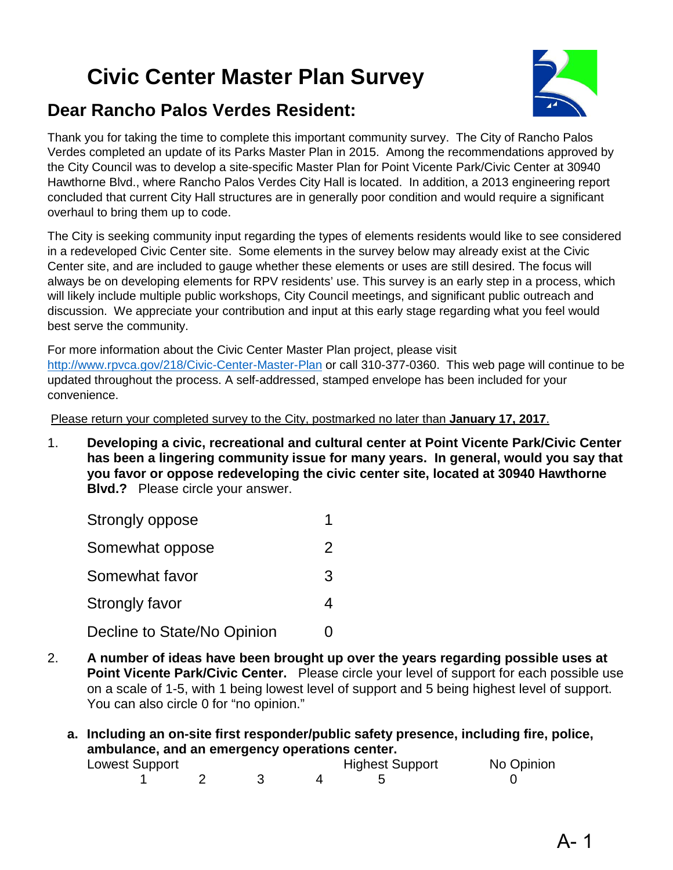# <span id="page-6-0"></span>**Civic Center Master Plan Survey**



### **Dear Rancho Palos Verdes Resident:**

Thank you for taking the time to complete this important community survey. The City of Rancho Palos Verdes completed an update of its Parks Master Plan in 2015. Among the recommendations approved by the City Council was to develop a site-specific Master Plan for Point Vicente Park/Civic Center at 30940 Hawthorne Blvd., where Rancho Palos Verdes City Hall is located. In addition, a 2013 engineering report concluded that current City Hall structures are in generally poor condition and would require a significant overhaul to bring them up to code.

The City is seeking community input regarding the types of elements residents would like to see considered in a redeveloped Civic Center site. Some elements in the survey below may already exist at the Civic Center site, and are included to gauge whether these elements or uses are still desired. The focus will always be on developing elements for RPV residents' use. This survey is an early step in a process, which will likely include multiple public workshops, City Council meetings, and significant public outreach and discussion. We appreciate your contribution and input at this early stage regarding what you feel would best serve the community.

For more information about the Civic Center Master Plan project, please visit <http://www.rpvca.gov/218/Civic-Center-Master-Plan> or call 310-377-0360. This web page will continue to be updated throughout the process. A self-addressed, stamped envelope has been included for your convenience.

Please return your completed survey to the City, postmarked no later than **January 17, 2017**.

1. **Developing a civic, recreational and cultural center at Point Vicente Park/Civic Center has been a lingering community issue for many years. In general, would you say that you favor or oppose redeveloping the civic center site, located at 30940 Hawthorne Blvd.?** Please circle your answer.

| Strongly oppose             |               |
|-----------------------------|---------------|
| Somewhat oppose             | $\mathcal{P}$ |
| Somewhat favor              | 3             |
| Strongly favor              | 4             |
| Decline to State/No Opinion |               |

- 2. **A number of ideas have been brought up over the years regarding possible uses at Point Vicente Park/Civic Center.** Please circle your level of support for each possible use on a scale of 1-5, with 1 being lowest level of support and 5 being highest level of support. You can also circle 0 for "no opinion."
	- **a. Including an on-site first responder/public safety presence, including fire, police, ambulance, and an emergency operations center.**

| Lowest Support |  | <b>Highest Support</b> | No Opinion |
|----------------|--|------------------------|------------|
|                |  |                        |            |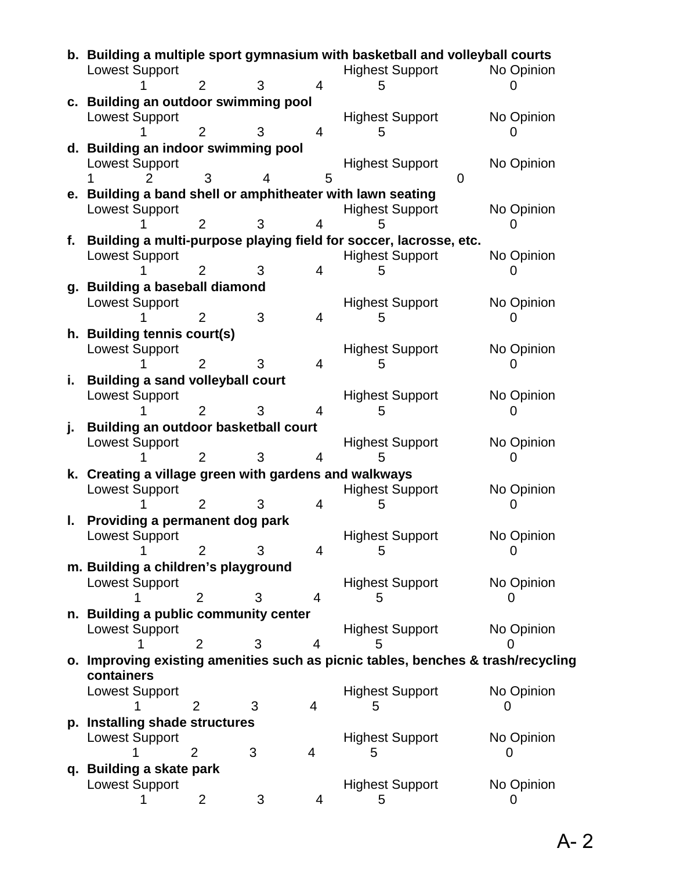|    | b. Building a multiple sport gymnasium with basketball and volleyball courts<br><b>Lowest Support</b> |                |   |                |   | <b>Highest Support</b> |   | No Opinion |
|----|-------------------------------------------------------------------------------------------------------|----------------|---|----------------|---|------------------------|---|------------|
|    |                                                                                                       | $\overline{2}$ | 3 | $\overline{4}$ | 5 |                        |   |            |
|    | c. Building an outdoor swimming pool                                                                  |                |   |                |   |                        |   |            |
|    | <b>Lowest Support</b>                                                                                 |                |   |                |   | <b>Highest Support</b> |   | No Opinion |
|    |                                                                                                       | 2              | 3 | 4              | 5 |                        |   |            |
|    | d. Building an indoor swimming pool                                                                   |                |   |                |   |                        |   |            |
|    | <b>Lowest Support</b>                                                                                 |                |   |                |   | <b>Highest Support</b> |   | No Opinion |
|    |                                                                                                       |                |   | 5              |   |                        | 0 |            |
|    | e. Building a band shell or amphitheater with lawn seating                                            |                |   |                |   |                        |   |            |
|    | <b>Lowest Support</b>                                                                                 |                |   |                |   | <b>Highest Support</b> |   | No Opinion |
|    |                                                                                                       | 2              |   | 4              |   |                        |   |            |
|    | f. Building a multi-purpose playing field for soccer, lacrosse, etc.                                  |                |   |                |   |                        |   |            |
|    | <b>Lowest Support</b>                                                                                 |                |   |                |   | <b>Highest Support</b> |   | No Opinion |
|    |                                                                                                       |                |   | 4              | 5 |                        |   |            |
|    | g. Building a baseball diamond                                                                        |                |   |                |   |                        |   |            |
|    | <b>Lowest Support</b>                                                                                 |                |   |                |   | <b>Highest Support</b> |   | No Opinion |
|    |                                                                                                       |                | 3 | 4              | 5 |                        |   |            |
|    | h. Building tennis court(s)                                                                           |                |   |                |   |                        |   |            |
|    | <b>Lowest Support</b>                                                                                 |                |   |                |   | <b>Highest Support</b> |   | No Opinion |
|    |                                                                                                       |                | 3 | 4              | ხ |                        |   |            |
| i. | <b>Building a sand volleyball court</b>                                                               |                |   |                |   |                        |   |            |
|    | <b>Lowest Support</b>                                                                                 |                |   |                |   | <b>Highest Support</b> |   | No Opinion |
|    |                                                                                                       | 2              |   | 4              | ხ |                        |   |            |
| j. | <b>Building an outdoor basketball court</b>                                                           |                |   |                |   |                        |   |            |
|    | <b>Lowest Support</b>                                                                                 |                |   |                |   | <b>Highest Support</b> |   | No Opinion |
|    |                                                                                                       | $\overline{2}$ | 3 | 4              |   |                        |   |            |
|    | k. Creating a village green with gardens and walkways                                                 |                |   |                |   |                        |   |            |
|    | <b>Lowest Support</b>                                                                                 |                |   |                |   | <b>Highest Support</b> |   | No Opinion |
|    |                                                                                                       | $\overline{2}$ | 3 | 4              | 5 |                        |   |            |
|    | Providing a permanent dog park<br>ı.                                                                  |                |   |                |   |                        |   |            |
|    | <b>Lowest Support</b>                                                                                 |                |   |                |   | <b>Highest Support</b> |   | No Opinion |
|    |                                                                                                       | $\overline{2}$ | 3 | $\overline{4}$ | 5 |                        |   |            |
|    | m. Building a children's playground                                                                   |                |   |                |   |                        |   |            |
|    | <b>Lowest Support</b>                                                                                 |                |   |                |   | <b>Highest Support</b> |   | No Opinion |
|    |                                                                                                       | 2              | 3 | 4              |   |                        |   |            |
| n. | <b>Building a public community center</b>                                                             |                |   |                |   |                        |   |            |
|    | <b>Lowest Support</b>                                                                                 |                |   |                |   | <b>Highest Support</b> |   | No Opinion |
|    |                                                                                                       | 2              | 3 | 4              | h |                        |   |            |
|    |                                                                                                       |                |   |                |   |                        |   |            |
|    | o. Improving existing amenities such as picnic tables, benches & trash/recycling<br>containers        |                |   |                |   |                        |   |            |
|    | <b>Lowest Support</b>                                                                                 |                |   |                |   | <b>Highest Support</b> |   | No Opinion |
|    |                                                                                                       | 2              | 3 | 4              |   |                        |   |            |
|    |                                                                                                       |                |   |                | 5 |                        |   |            |
|    | p. Installing shade structures                                                                        |                |   |                |   |                        |   |            |
|    | <b>Lowest Support</b>                                                                                 |                |   |                |   | <b>Highest Support</b> |   | No Opinion |
|    |                                                                                                       | 2              | 3 | 4              | 5 |                        |   |            |
|    | q. Building a skate park                                                                              |                |   |                |   |                        |   |            |
|    | <b>Lowest Support</b>                                                                                 |                |   |                |   | <b>Highest Support</b> |   | No Opinion |
|    |                                                                                                       | $\overline{2}$ | 3 | 4              | 5 |                        |   | O          |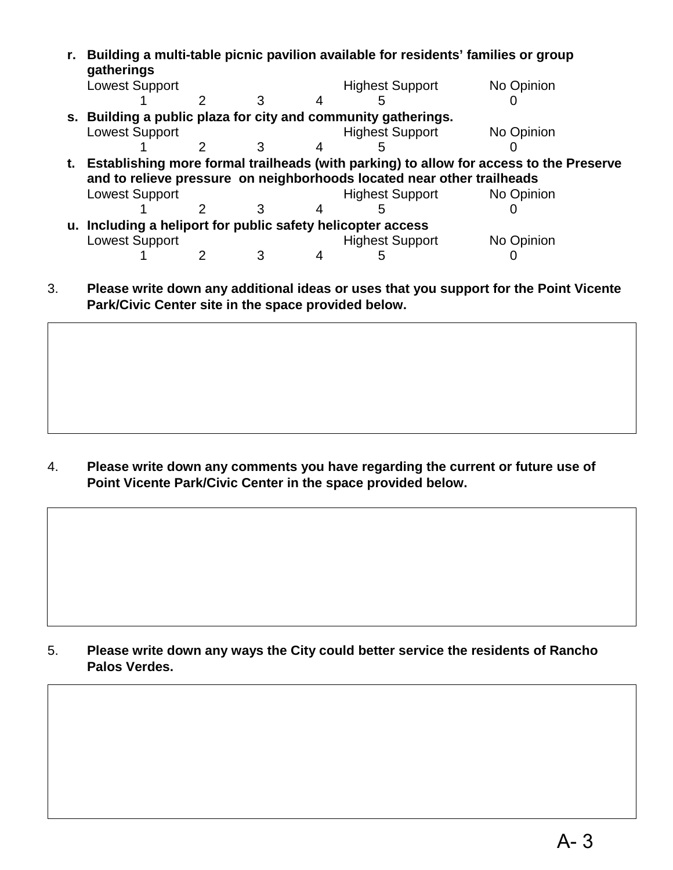| gatherings                                                                                |  |  |  | Building a multi-table picnic pavilion available for residents' families or group |            |  |
|-------------------------------------------------------------------------------------------|--|--|--|-----------------------------------------------------------------------------------|------------|--|
| <b>Lowest Support</b>                                                                     |  |  |  | <b>Highest Support</b>                                                            | No Opinion |  |
|                                                                                           |  |  |  |                                                                                   |            |  |
|                                                                                           |  |  |  | s. Building a public plaza for city and community gatherings.                     |            |  |
| <b>Lowest Support</b>                                                                     |  |  |  | <b>Highest Support</b>                                                            | No Opinion |  |
|                                                                                           |  |  |  |                                                                                   |            |  |
| t. Establishing more formal trailheads (with parking) to allow for access to the Preserve |  |  |  |                                                                                   |            |  |
|                                                                                           |  |  |  | and to relieve pressure on neighborhoods located near other trailheads            |            |  |
| <b>Lowest Support</b>                                                                     |  |  |  | <b>Highest Support</b>                                                            | No Opinion |  |
|                                                                                           |  |  |  |                                                                                   |            |  |
| u. Including a heliport for public safety helicopter access                               |  |  |  |                                                                                   |            |  |
| <b>Lowest Support</b>                                                                     |  |  |  | <b>Highest Support</b>                                                            | No Opinion |  |
|                                                                                           |  |  |  |                                                                                   |            |  |

3. **Please write down any additional ideas or uses that you support for the Point Vicente Park/Civic Center site in the space provided below.** 

4. **Please write down any comments you have regarding the current or future use of Point Vicente Park/Civic Center in the space provided below.**

5. **Please write down any ways the City could better service the residents of Rancho Palos Verdes.**